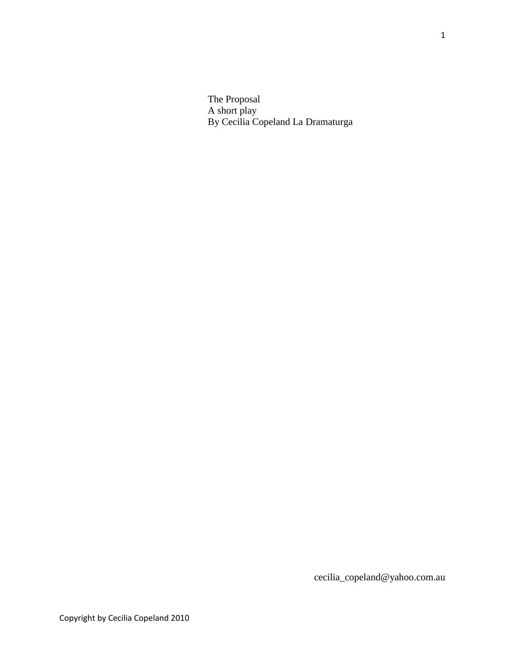The Proposal A short play By Cecilia Copeland La Dramaturga

cecilia\_copeland@yahoo.com.au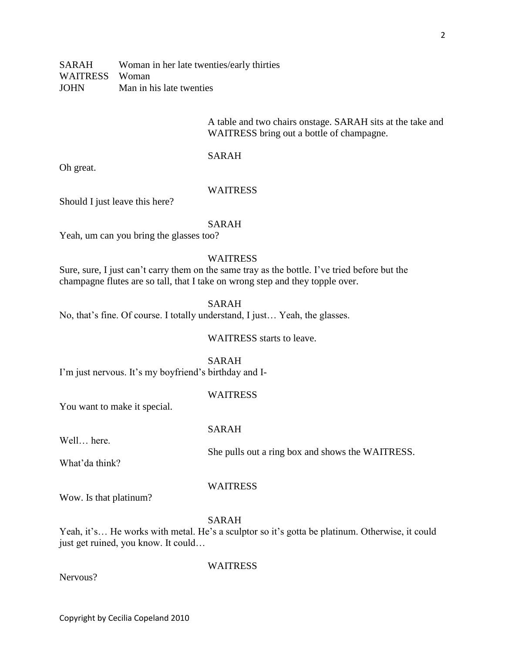A table and two chairs onstage. SARAH sits at the take and WAITRESS bring out a bottle of champagne.

## SARAH

Oh great.

# WAITRESS

Should I just leave this here?

## SARAH

Yeah, um can you bring the glasses too?

# **WAITRESS**

Sure, sure, I just can't carry them on the same tray as the bottle. I've tried before but the champagne flutes are so tall, that I take on wrong step and they topple over.

## SARAH

No, that's fine. Of course. I totally understand, I just… Yeah, the glasses.

WAITRESS starts to leave.

## SARAH

I'm just nervous. It's my boyfriend's birthday and I-

# **WAITRESS**

You want to make it special.

# SARAH

Well… here.

What'da think?

She pulls out a ring box and shows the WAITRESS.

#### **WAITRESS**

Wow. Is that platinum?

## SARAH

Yeah, it's... He works with metal. He's a sculptor so it's gotta be platinum. Otherwise, it could just get ruined, you know. It could…

Nervous?

WAITRESS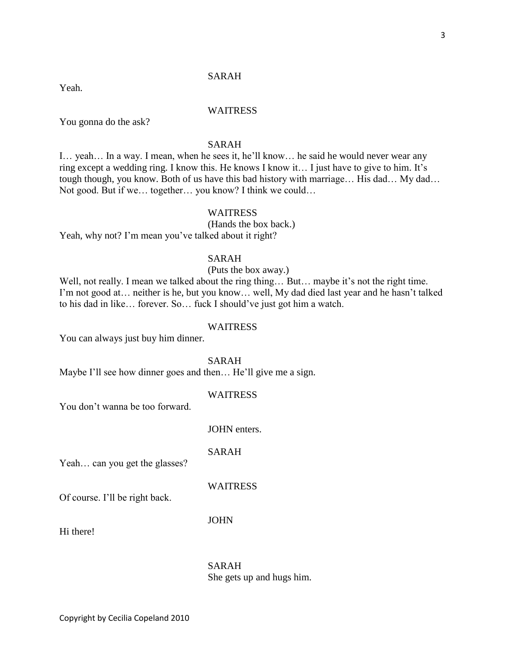# SARAH

Yeah.

# WAITRESS

You gonna do the ask?

# SARAH

I… yeah… In a way. I mean, when he sees it, he'll know… he said he would never wear any ring except a wedding ring. I know this. He knows I know it… I just have to give to him. It's tough though, you know. Both of us have this bad history with marriage… His dad… My dad… Not good. But if we… together… you know? I think we could…

# WAITRESS

(Hands the box back.) Yeah, why not? I'm mean you've talked about it right?

## SARAH

# (Puts the box away.)

Well, not really. I mean we talked about the ring thing... But... maybe it's not the right time. I'm not good at… neither is he, but you know… well, My dad died last year and he hasn't talked to his dad in like… forever. So… fuck I should've just got him a watch.

#### WAITRESS

You can always just buy him dinner.

SARAH

Maybe I'll see how dinner goes and then... He'll give me a sign.

## WAITRESS

You don't wanna be too forward.

JOHN enters.

SARAH

Yeah… can you get the glasses?

**WAITRESS** 

Of course. I'll be right back.

JOHN

Hi there!

SARAH She gets up and hugs him.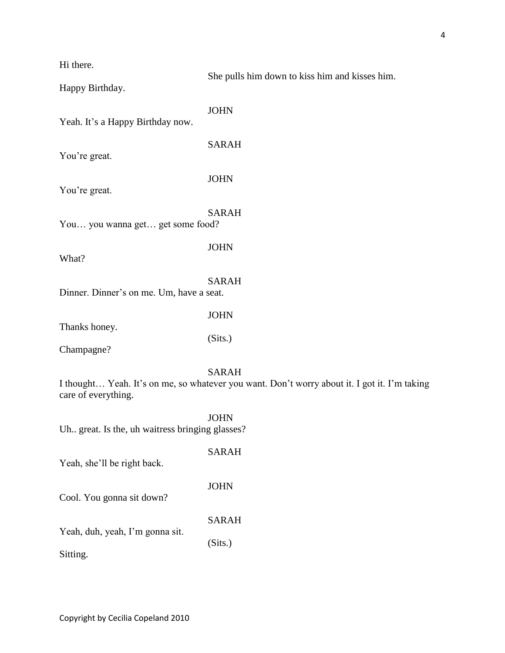Hi there.

She pulls him down to kiss him and kisses him.

Happy Birthday.

JOHN

Yeah. It's a Happy Birthday now.

You're great.

You're great.

JOHN

SARAH

SARAH

JOHN

You… you wanna get… get some food?

What?

SARAH

Dinner. Dinner's on me. Um, have a seat.

Thanks honey.

JOHN

(Sits.)

Champagne?

SARAH

I thought… Yeah. It's on me, so whatever you want. Don't worry about it. I got it. I'm taking care of everything.

**JOHN** 

(Sits.)

Uh.. great. Is the, uh waitress bringing glasses?

SARAH Yeah, she'll be right back. JOHN Cool. You gonna sit down? SARAH

Yeah, duh, yeah, I'm gonna sit.

Sitting.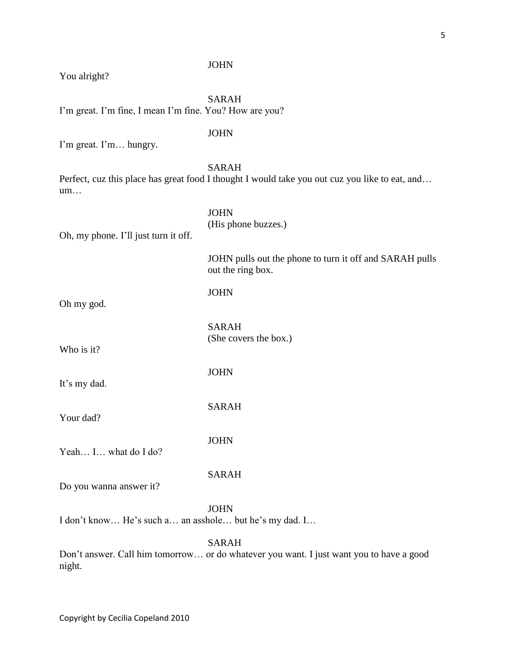| You alright?                                            | <b>JOHN</b>                                                                                                    |
|---------------------------------------------------------|----------------------------------------------------------------------------------------------------------------|
|                                                         |                                                                                                                |
| I'm great. I'm fine, I mean I'm fine. You? How are you? | <b>SARAH</b>                                                                                                   |
| I'm great. I'm hungry.                                  | <b>JOHN</b>                                                                                                    |
| um                                                      | <b>SARAH</b><br>Perfect, cuz this place has great food I thought I would take you out cuz you like to eat, and |
| Oh, my phone. I'll just turn it off.                    | <b>JOHN</b><br>(His phone buzzes.)                                                                             |
|                                                         | JOHN pulls out the phone to turn it off and SARAH pulls<br>out the ring box.                                   |
| Oh my god.                                              | <b>JOHN</b>                                                                                                    |
| Who is it?                                              | <b>SARAH</b><br>(She covers the box.)                                                                          |
| It's my dad.                                            | <b>JOHN</b>                                                                                                    |
| Your dad?                                               | <b>SARAH</b>                                                                                                   |
| Yeah I what do I do?                                    | <b>JOHN</b>                                                                                                    |
| Do you wanna answer it?                                 | <b>SARAH</b>                                                                                                   |
| I don't know He's such a an asshole but he's my dad. I  | <b>JOHN</b>                                                                                                    |
|                                                         | <b>SARAH</b><br>Dan't answer. Call him tomorrow or do whotover you want. Livet went you to hove a good         |

Don't answer. Call him tomorrow… or do whatever you want. I just want you to have a good night.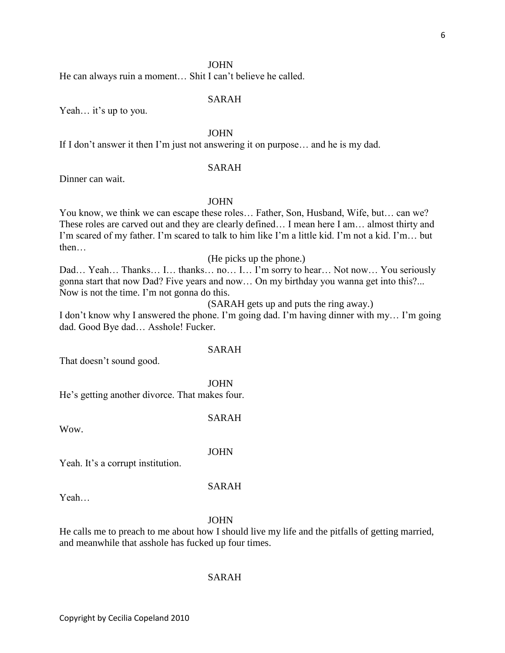## JOHN

He can always ruin a moment… Shit I can't believe he called.

## SARAH

Yeah… it's up to you.

## JOHN

If I don't answer it then I'm just not answering it on purpose… and he is my dad.

## SARAH

Dinner can wait.

## JOHN

You know, we think we can escape these roles… Father, Son, Husband, Wife, but… can we? These roles are carved out and they are clearly defined… I mean here I am… almost thirty and I'm scared of my father. I'm scared to talk to him like I'm a little kid. I'm not a kid. I'm… but then…

(He picks up the phone.)

Dad… Yeah… Thanks… I… thanks… no… I… I'm sorry to hear… Not now… You seriously gonna start that now Dad? Five years and now… On my birthday you wanna get into this?... Now is not the time. I'm not gonna do this.

(SARAH gets up and puts the ring away.)

I don't know why I answered the phone. I'm going dad. I'm having dinner with my… I'm going dad. Good Bye dad… Asshole! Fucker.

# SARAH

That doesn't sound good.

JOHN

He's getting another divorce. That makes four.

SARAH

Wow.

#### JOHN

Yeah. It's a corrupt institution.

#### SARAH

Yeah…

#### JOHN

He calls me to preach to me about how I should live my life and the pitfalls of getting married, and meanwhile that asshole has fucked up four times.

#### SARAH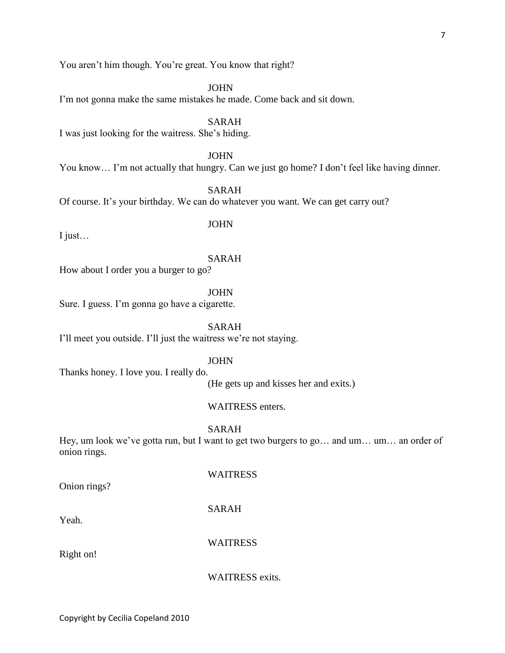You aren't him though. You're great. You know that right?

JOHN

I'm not gonna make the same mistakes he made. Come back and sit down.

SARAH

I was just looking for the waitress. She's hiding.

JOHN

You know… I'm not actually that hungry. Can we just go home? I don't feel like having dinner.

SARAH

Of course. It's your birthday. We can do whatever you want. We can get carry out?

I just…

JOHN

# SARAH

How about I order you a burger to go?

JOHN

Sure. I guess. I'm gonna go have a cigarette.

SARAH

I'll meet you outside. I'll just the waitress we're not staying.

JOHN

Thanks honey. I love you. I really do.

(He gets up and kisses her and exits.)

WAITRESS enters.

SARAH

Hey, um look we've gotta run, but I want to get two burgers to go... and um... um... an order of onion rings.

Onion rings?

WAITRESS

SARAH

Yeah.

**WAITRESS** 

Right on!

WAITRESS exits.